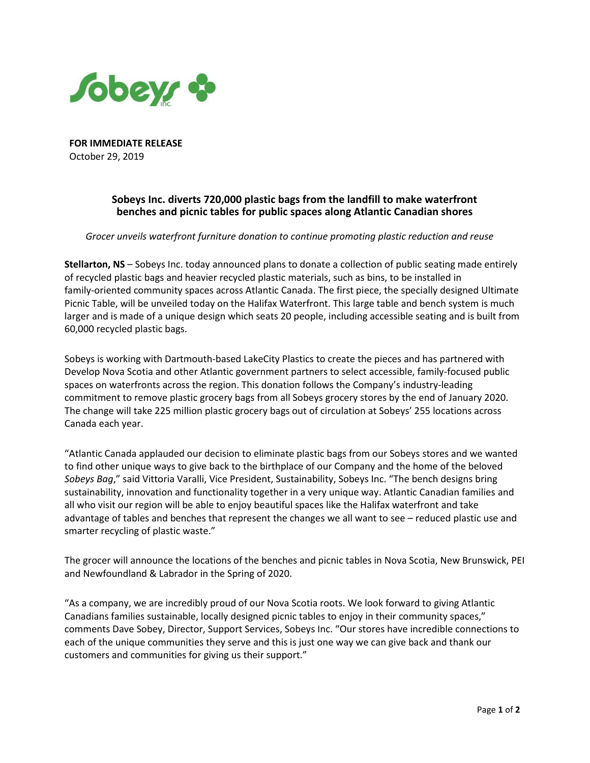

**FOR IMMEDIATE RELEASE** October 29, 2019

## **Sobeys Inc. diverts 720,000 plastic bags from the landfill to make waterfront benches and picnic tables for public spaces along Atlantic Canadian shores**

*Grocer unveils waterfront furniture donation to continue promoting plastic reduction and reuse*

**Stellarton, NS** – Sobeys Inc. today announced plans to donate a collection of public seating made entirely of recycled plastic bags and heavier recycled plastic materials, such as bins, to be installed in family-oriented community spaces across Atlantic Canada. The first piece, the specially designed Ultimate Picnic Table, will be unveiled today on the Halifax Waterfront. This large table and bench system is much larger and is made of a unique design which seats 20 people, including accessible seating and is built from 60,000 recycled plastic bags.

Sobeys is working with Dartmouth-based LakeCity Plastics to create the pieces and has partnered with Develop Nova Scotia and other Atlantic government partners to select accessible, family-focused public spaces on waterfronts across the region. This donation follows the Company's industry-leading commitment to remove plastic grocery bags from all Sobeys grocery stores by the end of January 2020. The change will take 225 million plastic grocery bags out of circulation at Sobeys' 255 locations across Canada each year.

"Atlantic Canada applauded our decision to eliminate plastic bags from our Sobeys stores and we wanted to find other unique ways to give back to the birthplace of our Company and the home of the beloved *Sobeys Bag*," said Vittoria Varalli, Vice President, Sustainability, Sobeys Inc. "The bench designs bring sustainability, innovation and functionality together in a very unique way. Atlantic Canadian families and all who visit our region will be able to enjoy beautiful spaces like the Halifax waterfront and take advantage of tables and benches that represent the changes we all want to see – reduced plastic use and smarter recycling of plastic waste."

The grocer will announce the locations of the benches and picnic tables in Nova Scotia, New Brunswick, PEI and Newfoundland & Labrador in the Spring of 2020.

"As a company, we are incredibly proud of our Nova Scotia roots. We look forward to giving Atlantic Canadians families sustainable, locally designed picnic tables to enjoy in their community spaces," comments Dave Sobey, Director, Support Services, Sobeys Inc. "Our stores have incredible connections to each of the unique communities they serve and this is just one way we can give back and thank our customers and communities for giving us their support."